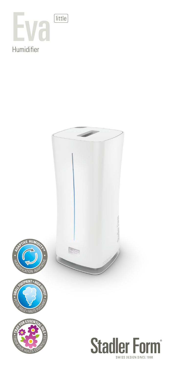



SWISS DESIGN SINCE 1998